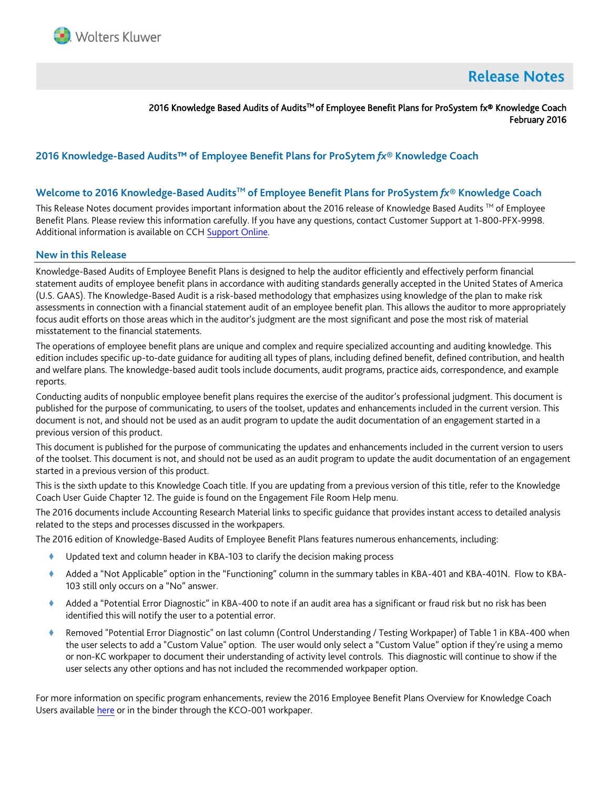

# **Release Notes**

2016 Knowledge Based Audits of Audits™ of Employee Benefit Plans for ProSystem fx® Knowledge Coach February 2016

## **2016 Knowledge-Based Audits™ of Employee Benefit Plans for ProSytem** *fx***® Knowledge Coach**

### **Welcome to 2016 Knowledge-Based AuditsTM of Employee Benefit Plans for ProSystem** *fx***® Knowledge Coach**

This Release Notes document provides important information about the 2016 release of Knowledge Based Audits ™ of Employee Benefit Plans. Please review this information carefully. If you have any questions, contact Customer Support at 1-800-PFX-9998. Additional information is available on CCH [Support Online.](http://support.cch.com/productsupport/)

#### **New in this Release**

Knowledge-Based Audits of Employee Benefit Plans is designed to help the auditor efficiently and effectively perform financial statement audits of employee benefit plans in accordance with auditing standards generally accepted in the United States of America (U.S. GAAS). The Knowledge-Based Audit is a risk-based methodology that emphasizes using knowledge of the plan to make risk assessments in connection with a financial statement audit of an employee benefit plan. This allows the auditor to more appropriately focus audit efforts on those areas which in the auditor's judgment are the most significant and pose the most risk of material misstatement to the financial statements.

The operations of employee benefit plans are unique and complex and require specialized accounting and auditing knowledge. This edition includes specific up-to-date guidance for auditing all types of plans, including defined benefit, defined contribution, and health and welfare plans. The knowledge-based audit tools include documents, audit programs, practice aids, correspondence, and example reports.

Conducting audits of nonpublic employee benefit plans requires the exercise of the auditor's professional judgment. This document is published for the purpose of communicating, to users of the toolset, updates and enhancements included in the current version. This document is not, and should not be used as an audit program to update the audit documentation of an engagement started in a previous version of this product.

This document is published for the purpose of communicating the updates and enhancements included in the current version to users of the toolset. This document is not, and should not be used as an audit program to update the audit documentation of an engagement started in a previous version of this product.

This is the sixth update to this Knowledge Coach title. If you are updating from a previous version of this title, refer to the Knowledge Coach User Guide Chapter 12. The guide is found on the Engagement File Room Help menu.

The 2016 documents include Accounting Research Material links to specific guidance that provides instant access to detailed analysis related to the steps and processes discussed in the workpapers.

The 2016 edition of Knowledge-Based Audits of Employee Benefit Plans features numerous enhancements, including:

- Updated text and column header in KBA-103 to clarify the decision making process
- Added a "Not Applicable" option in the "Functioning" column in the summary tables in KBA-401 and KBA-401N. Flow to KBA-103 still only occurs on a "No" answer.
- Added a "Potential Error Diagnostic" in KBA-400 to note if an audit area has a significant or fraud risk but no risk has been identified this will notify the user to a potential error.
- Removed "Potential Error Diagnostic" on last column (Control Understanding / Testing Workpaper) of Table 1 in KBA-400 when the user selects to add a "Custom Value" option. The user would only select a "Custom Value" option if they're using a memo or non-KC workpaper to document their understanding of activity level controls. This diagnostic will continue to show if the user selects any other options and has not included the recommended workpaper option.

For more information on specific program enhancements, review the 2016 Employee Benefit Plans Overview for Knowledge Coach Users availabl[e here](http://support.cch.com/updates/KnowledgeCoach/pdf/guides_tab/2016%20Employee%20Benefit%20Plans%20Title%20Overview%20for%20Knowledge%20Coach%20Users.pdf) or in the binder through the KCO-001 workpaper.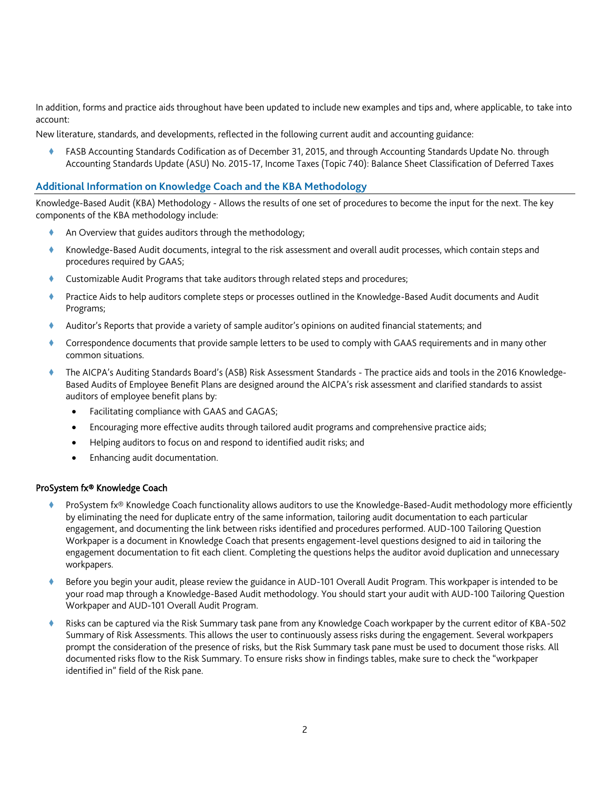In addition, forms and practice aids throughout have been updated to include new examples and tips and, where applicable, to take into account:

New literature, standards, and developments, reflected in the following current audit and accounting guidance:

 FASB Accounting Standards Codification as of December 31, 2015, and through Accounting Standards Update No. through Accounting Standards Update (ASU) No. 2015-17, Income Taxes (Topic 740): Balance Sheet Classification of Deferred Taxes

#### **Additional Information on Knowledge Coach and the KBA Methodology**

Knowledge-Based Audit (KBA) Methodology - Allows the results of one set of procedures to become the input for the next. The key components of the KBA methodology include:

- An Overview that guides auditors through the methodology;
- Knowledge-Based Audit documents, integral to the risk assessment and overall audit processes, which contain steps and procedures required by GAAS;
- Customizable Audit Programs that take auditors through related steps and procedures;
- Practice Aids to help auditors complete steps or processes outlined in the Knowledge-Based Audit documents and Audit Programs;
- Auditor's Reports that provide a variety of sample auditor's opinions on audited financial statements; and
- Correspondence documents that provide sample letters to be used to comply with GAAS requirements and in many other common situations.
- The AICPA's Auditing Standards Board's (ASB) Risk Assessment Standards The practice aids and tools in the 2016 Knowledge-Based Audits of Employee Benefit Plans are designed around the AICPA's risk assessment and clarified standards to assist auditors of employee benefit plans by:
	- Facilitating compliance with GAAS and GAGAS;
	- Encouraging more effective audits through tailored audit programs and comprehensive practice aids;
	- Helping auditors to focus on and respond to identified audit risks; and
	- Enhancing audit documentation.

#### ProSystem fx® Knowledge Coach

- ProSystem fx® Knowledge Coach functionality allows auditors to use the Knowledge-Based-Audit methodology more efficiently by eliminating the need for duplicate entry of the same information, tailoring audit documentation to each particular engagement, and documenting the link between risks identified and procedures performed. AUD-100 Tailoring Question Workpaper is a document in Knowledge Coach that presents engagement-level questions designed to aid in tailoring the engagement documentation to fit each client. Completing the questions helps the auditor avoid duplication and unnecessary workpapers.
- Before you begin your audit, please review the guidance in AUD-101 Overall Audit Program. This workpaper is intended to be your road map through a Knowledge-Based Audit methodology. You should start your audit with AUD-100 Tailoring Question Workpaper and AUD-101 Overall Audit Program.
- Risks can be captured via the Risk Summary task pane from any Knowledge Coach workpaper by the current editor of KBA-502 Summary of Risk Assessments. This allows the user to continuously assess risks during the engagement. Several workpapers prompt the consideration of the presence of risks, but the Risk Summary task pane must be used to document those risks. All documented risks flow to the Risk Summary. To ensure risks show in findings tables, make sure to check the "workpaper identified in" field of the Risk pane.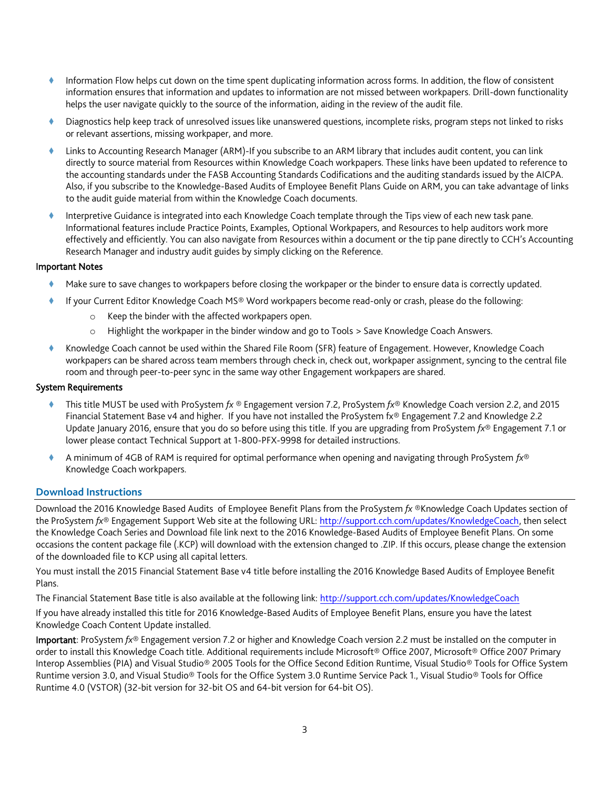- Information Flow helps cut down on the time spent duplicating information across forms. In addition, the flow of consistent information ensures that information and updates to information are not missed between workpapers. Drill-down functionality helps the user navigate quickly to the source of the information, aiding in the review of the audit file.
- Diagnostics help keep track of unresolved issues like unanswered questions, incomplete risks, program steps not linked to risks or relevant assertions, missing workpaper, and more.
- Links to Accounting Research Manager (ARM)-If you subscribe to an ARM library that includes audit content, you can link directly to source material from Resources within Knowledge Coach workpapers. These links have been updated to reference to the accounting standards under the FASB Accounting Standards Codifications and the auditing standards issued by the AICPA. Also, if you subscribe to the Knowledge-Based Audits of Employee Benefit Plans Guide on ARM, you can take advantage of links to the audit guide material from within the Knowledge Coach documents.
- Interpretive Guidance is integrated into each Knowledge Coach template through the Tips view of each new task pane. Informational features include Practice Points, Examples, Optional Workpapers, and Resources to help auditors work more effectively and efficiently. You can also navigate from Resources within a document or the tip pane directly to CCH's Accounting Research Manager and industry audit guides by simply clicking on the Reference.

#### Important Notes

- Make sure to save changes to workpapers before closing the workpaper or the binder to ensure data is correctly updated.
- If your Current Editor Knowledge Coach MS® Word workpapers become read-only or crash, please do the following:
	- o Keep the binder with the affected workpapers open.
	- o Highlight the workpaper in the binder window and go to Tools > Save Knowledge Coach Answers.
- Knowledge Coach cannot be used within the Shared File Room (SFR) feature of Engagement. However, Knowledge Coach workpapers can be shared across team members through check in, check out, workpaper assignment, syncing to the central file room and through peer-to-peer sync in the same way other Engagement workpapers are shared.

## System Requirements

- This title MUST be used with ProSystem *fx* ® Engagement version 7.2, ProSystem *fx*® Knowledge Coach version 2.2, and 2015 Financial Statement Base v4 and higher. If you have not installed the ProSystem fx® Engagement 7.2 and Knowledge 2.2 Update January 2016, ensure that you do so before using this title. If you are upgrading from ProSystem *fx*® Engagement 7.1 or lower please contact Technical Support at 1-800-PFX-9998 for detailed instructions.
- A minimum of 4GB of RAM is required for optimal performance when opening and navigating through ProSystem *fx*® Knowledge Coach workpapers.

#### **Download Instructions**

Download the 2016 Knowledge Based Audits of Employee Benefit Plans from the ProSystem *fx* ®Knowledge Coach Updates section of the ProSystem *fx*® Engagement Support Web site at the following URL: [http://support.cch.com/updates/KnowledgeCoach,](http://support.cch.com/updates/KnowledgeCoach) then select the Knowledge Coach Series and Download file link next to the 2016 Knowledge-Based Audits of Employee Benefit Plans. On some occasions the content package file (.KCP) will download with the extension changed to .ZIP. If this occurs, please change the extension of the downloaded file to KCP using all capital letters.

You must install the 2015 Financial Statement Base v4 title before installing the 2016 Knowledge Based Audits of Employee Benefit Plans.

The Financial Statement Base title is also available at the following link:<http://support.cch.com/updates/KnowledgeCoach>

If you have already installed this title for 2016 Knowledge-Based Audits of Employee Benefit Plans, ensure you have the latest Knowledge Coach Content Update installed.

Important: ProSystem *fx*® Engagement version 7.2 or higher and Knowledge Coach version 2.2 must be installed on the computer in order to install this Knowledge Coach title. Additional requirements include Microsoft® Office 2007, Microsoft® Office 2007 Primary Interop Assemblies (PIA) and Visual Studio® 2005 Tools for the Office Second Edition Runtime, Visual Studio® Tools for Office System Runtime version 3.0, and Visual Studio® Tools for the Office System 3.0 Runtime Service Pack 1., Visual Studio® Tools for Office Runtime 4.0 (VSTOR) (32-bit version for 32-bit OS and 64-bit version for 64-bit OS).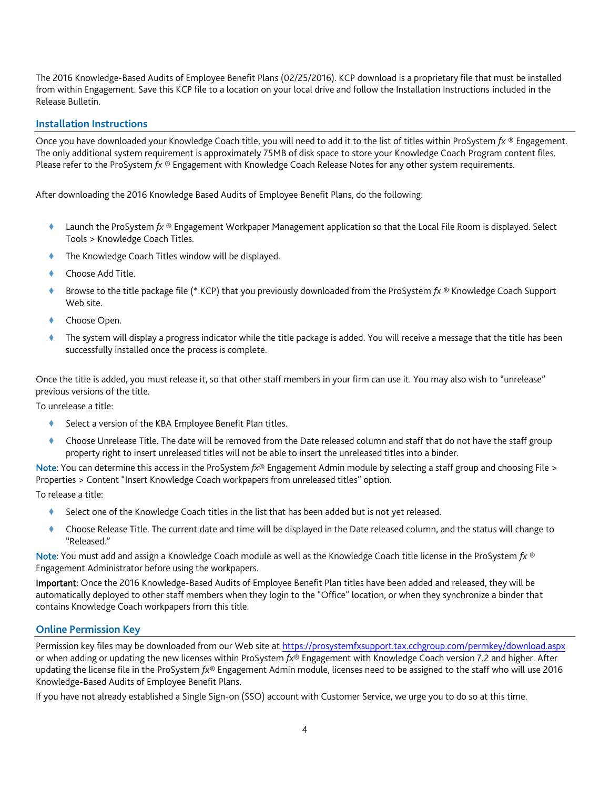The 2016 Knowledge-Based Audits of Employee Benefit Plans (02/25/2016). KCP download is a proprietary file that must be installed from within Engagement. Save this KCP file to a location on your local drive and follow the Installation Instructions included in the Release Bulletin.

## **Installation Instructions**

Once you have downloaded your Knowledge Coach title, you will need to add it to the list of titles within ProSystem *fx* ® Engagement. The only additional system requirement is approximately 75MB of disk space to store your Knowledge Coach Program content files. Please refer to the ProSystem *fx* ® Engagement with Knowledge Coach Release Notes for any other system requirements.

After downloading the 2016 Knowledge Based Audits of Employee Benefit Plans, do the following:

- Launch the ProSystem *fx* ® Engagement Workpaper Management application so that the Local File Room is displayed. Select Tools > Knowledge Coach Titles.
- The Knowledge Coach Titles window will be displayed.
- Choose Add Title.
- Browse to the title package file (\*.KCP) that you previously downloaded from the ProSystem *fx* ® Knowledge Coach Support Web site.
- Choose Open.
- The system will display a progress indicator while the title package is added. You will receive a message that the title has been successfully installed once the process is complete.

Once the title is added, you must release it, so that other staff members in your firm can use it. You may also wish to "unrelease" previous versions of the title.

To unrelease a title:

- Select a version of the KBA Employee Benefit Plan titles.
- Choose Unrelease Title. The date will be removed from the Date released column and staff that do not have the staff group property right to insert unreleased titles will not be able to insert the unreleased titles into a binder.

Note: You can determine this access in the ProSystem *fx*® Engagement Admin module by selecting a staff group and choosing File > Properties > Content "Insert Knowledge Coach workpapers from unreleased titles" option.

To release a title:

- Select one of the Knowledge Coach titles in the list that has been added but is not yet released.
- Choose Release Title. The current date and time will be displayed in the Date released column, and the status will change to "Released."

Note: You must add and assign a Knowledge Coach module as well as the Knowledge Coach title license in the ProSystem *fx* ® Engagement Administrator before using the workpapers.

Important: Once the 2016 Knowledge-Based Audits of Employee Benefit Plan titles have been added and released, they will be automatically deployed to other staff members when they login to the "Office" location, or when they synchronize a binder that contains Knowledge Coach workpapers from this title.

#### **Online Permission Key**

Permission key files may be downloaded from our Web site a[t https://prosystemfxsupport.tax.cchgroup.com/permkey/download.aspx](https://prosystemfxsupport.tax.cchgroup.com/permkey/download.aspx)  or when adding or updating the new licenses within ProSystem *fx*® Engagement with Knowledge Coach version 7.2 and higher. After updating the license file in the ProSystem *fx*® Engagement Admin module, licenses need to be assigned to the staff who will use 2016 Knowledge-Based Audits of Employee Benefit Plans.

If you have not already established a Single Sign-on (SSO) account with Customer Service, we urge you to do so at this time.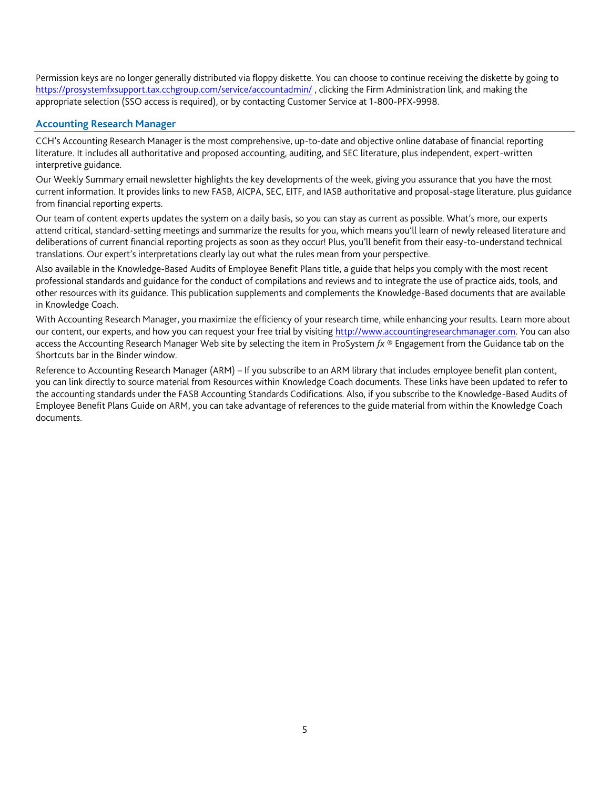Permission keys are no longer generally distributed via floppy diskette. You can choose to continue receiving the diskette by going to <https://prosystemfxsupport.tax.cchgroup.com/service/accountadmin/> , clicking the Firm Administration link, and making the appropriate selection (SSO access is required), or by contacting Customer Service at 1-800-PFX-9998.

## **Accounting Research Manager**

CCH's Accounting Research Manager is the most comprehensive, up-to-date and objective online database of financial reporting literature. It includes all authoritative and proposed accounting, auditing, and SEC literature, plus independent, expert-written interpretive guidance.

Our Weekly Summary email newsletter highlights the key developments of the week, giving you assurance that you have the most current information. It provides links to new FASB, AICPA, SEC, EITF, and IASB authoritative and proposal-stage literature, plus guidance from financial reporting experts.

Our team of content experts updates the system on a daily basis, so you can stay as current as possible. What's more, our experts attend critical, standard-setting meetings and summarize the results for you, which means you'll learn of newly released literature and deliberations of current financial reporting projects as soon as they occur! Plus, you'll benefit from their easy-to-understand technical translations. Our expert's interpretations clearly lay out what the rules mean from your perspective.

Also available in the Knowledge-Based Audits of Employee Benefit Plans title, a guide that helps you comply with the most recent professional standards and guidance for the conduct of compilations and reviews and to integrate the use of practice aids, tools, and other resources with its guidance. This publication supplements and complements the Knowledge-Based documents that are available in Knowledge Coach.

With Accounting Research Manager, you maximize the efficiency of your research time, while enhancing your results. Learn more about our content, our experts, and how you can request your free trial by visiting [http://www.accountingresearchmanager.com.](http://www.accountingresearchmanager.com/) You can also access the Accounting Research Manager Web site by selecting the item in ProSystem *fx* ® Engagement from the Guidance tab on the Shortcuts bar in the Binder window.

Reference to Accounting Research Manager (ARM) – If you subscribe to an ARM library that includes employee benefit plan content, you can link directly to source material from Resources within Knowledge Coach documents. These links have been updated to refer to the accounting standards under the FASB Accounting Standards Codifications. Also, if you subscribe to the Knowledge-Based Audits of Employee Benefit Plans Guide on ARM, you can take advantage of references to the guide material from within the Knowledge Coach documents.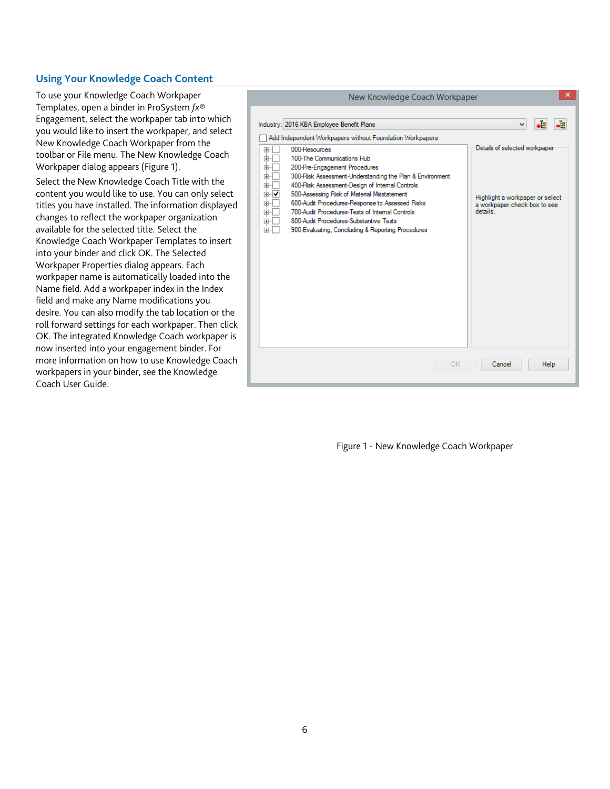## **Using Your Knowledge Coach Content**

To use your Knowledge Coach Workpaper Templates, open a binder in ProSystem *fx*® Engagement, select the workpaper tab into which you would like to insert the workpaper, and select New Knowledge Coach Workpaper from the toolbar or File menu. The New Knowledge Coach Workpaper dialog appears (Figure 1).

Select the New Knowledge Coach Title with the content you would like to use. You can only select titles you have installed. The information displayed changes to reflect the workpaper organization available for the selected title. Select the Knowledge Coach Workpaper Templates to insert into your binder and click OK. The Selected Workpaper Properties dialog appears. Each workpaper name is automatically loaded into the Name field. Add a workpaper index in the Index field and make any Name modifications you desire. You can also modify the tab location or the roll forward settings for each workpaper. Then click OK. The integrated Knowledge Coach workpaper is now inserted into your engagement binder. For more information on how to use Knowledge Coach workpapers in your binder, see the Knowledge Coach User Guide.

| ×<br>New Knowledge Coach Workpaper                                                                                                                                                                                                                                                                                                                                                                                                                                                                                                                                                                                                |                                                                                                                               |
|-----------------------------------------------------------------------------------------------------------------------------------------------------------------------------------------------------------------------------------------------------------------------------------------------------------------------------------------------------------------------------------------------------------------------------------------------------------------------------------------------------------------------------------------------------------------------------------------------------------------------------------|-------------------------------------------------------------------------------------------------------------------------------|
| Industry: 2016 KBA Employee Benefit Plans<br>Add Independent Workpapers without Foundation Workpapers<br>000-Resources<br>$\overline{+}\cdot$<br>100-The Communications Hub<br>田<br>200-Pre-Engagement Procedures<br>国<br>300-Risk Assessment-Understanding the Plan & Environment<br>田<br>400-Risk Assessment-Design of Internal Controls<br>田<br>500-Assessing Risk of Material Misstatement<br>⊞⊹I✔<br>600-Audit Procedures-Response to Assessed Risks<br>÷<br>700-Audit Procedures-Tests of Internal Controls<br>Œŀ<br>800-Audit Procedures-Substantive Tests<br>审<br>900-Evaluating, Concluding & Reporting Procedures<br>Œŀ | -1<br>∙≊ิ<br>v<br>Details of selected workpaper<br>Highlight a workpaper or select<br>a workpaper check box to see<br>details |
| OK                                                                                                                                                                                                                                                                                                                                                                                                                                                                                                                                                                                                                                | Cancel<br>Help                                                                                                                |

Figure 1 - New Knowledge Coach Workpaper